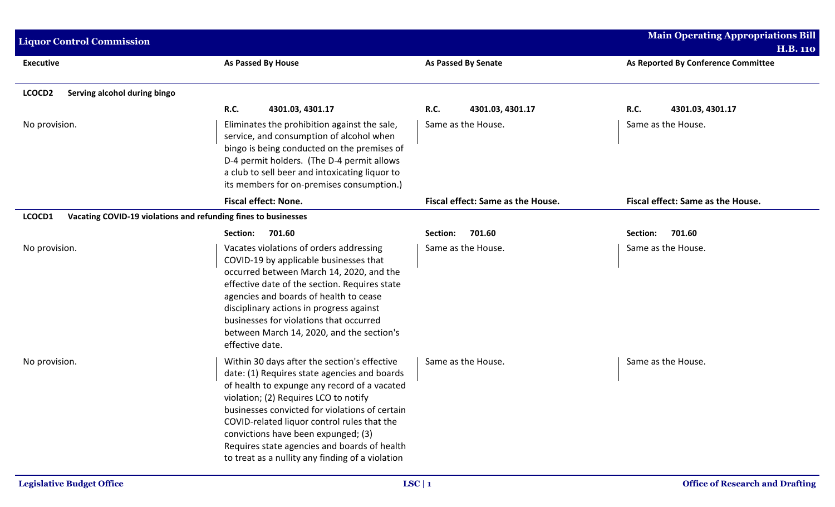| <b>Liquor Control Commission</b>                                         |                                                                                                                                                                                                                                                                                                                                                                                                                                   |                                   | <b>Main Operating Appropriations Bill</b> |
|--------------------------------------------------------------------------|-----------------------------------------------------------------------------------------------------------------------------------------------------------------------------------------------------------------------------------------------------------------------------------------------------------------------------------------------------------------------------------------------------------------------------------|-----------------------------------|-------------------------------------------|
|                                                                          |                                                                                                                                                                                                                                                                                                                                                                                                                                   |                                   | <b>H.B. 110</b>                           |
| <b>Executive</b>                                                         | <b>As Passed By House</b>                                                                                                                                                                                                                                                                                                                                                                                                         | <b>As Passed By Senate</b>        | As Reported By Conference Committee       |
| Serving alcohol during bingo<br>LCOCD <sub>2</sub>                       |                                                                                                                                                                                                                                                                                                                                                                                                                                   |                                   |                                           |
|                                                                          | <b>R.C.</b><br>4301.03, 4301.17                                                                                                                                                                                                                                                                                                                                                                                                   | <b>R.C.</b><br>4301.03, 4301.17   | R.C.<br>4301.03, 4301.17                  |
| No provision.                                                            | Eliminates the prohibition against the sale,<br>service, and consumption of alcohol when<br>bingo is being conducted on the premises of<br>D-4 permit holders. (The D-4 permit allows<br>a club to sell beer and intoxicating liquor to<br>its members for on-premises consumption.)                                                                                                                                              | Same as the House.                | Same as the House.                        |
|                                                                          | <b>Fiscal effect: None.</b>                                                                                                                                                                                                                                                                                                                                                                                                       | Fiscal effect: Same as the House. | Fiscal effect: Same as the House.         |
| LCOCD1<br>Vacating COVID-19 violations and refunding fines to businesses |                                                                                                                                                                                                                                                                                                                                                                                                                                   |                                   |                                           |
|                                                                          | 701.60<br>Section:                                                                                                                                                                                                                                                                                                                                                                                                                | 701.60<br>Section:                | 701.60<br>Section:                        |
| No provision.                                                            | Vacates violations of orders addressing<br>COVID-19 by applicable businesses that<br>occurred between March 14, 2020, and the<br>effective date of the section. Requires state<br>agencies and boards of health to cease<br>disciplinary actions in progress against<br>businesses for violations that occurred<br>between March 14, 2020, and the section's<br>effective date.                                                   | Same as the House.                | Same as the House.                        |
| No provision.                                                            | Within 30 days after the section's effective<br>date: (1) Requires state agencies and boards<br>of health to expunge any record of a vacated<br>violation; (2) Requires LCO to notify<br>businesses convicted for violations of certain<br>COVID-related liquor control rules that the<br>convictions have been expunged; (3)<br>Requires state agencies and boards of health<br>to treat as a nullity any finding of a violation | Same as the House.                | Same as the House.                        |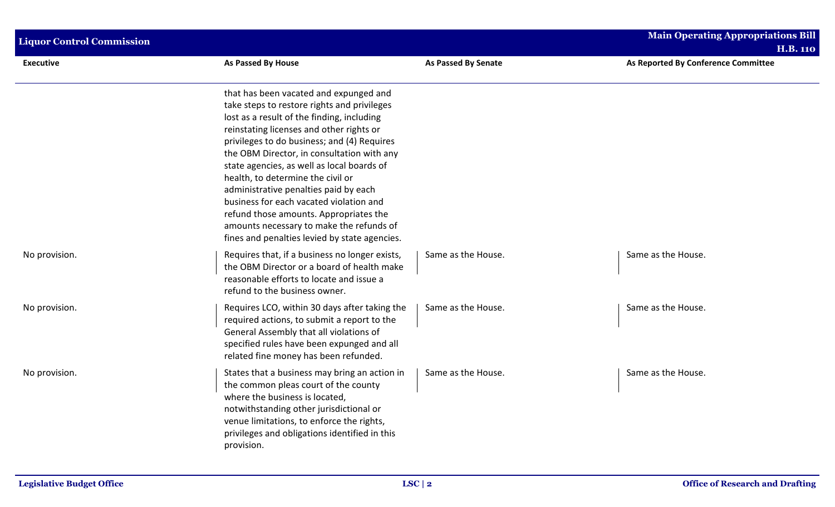| <b>Liquor Control Commission</b> |                                                                                                                                                                                                                                                                                                                                                                                                                                                                                                                                                                                            |                     |                                                        |
|----------------------------------|--------------------------------------------------------------------------------------------------------------------------------------------------------------------------------------------------------------------------------------------------------------------------------------------------------------------------------------------------------------------------------------------------------------------------------------------------------------------------------------------------------------------------------------------------------------------------------------------|---------------------|--------------------------------------------------------|
| <b>Executive</b>                 | As Passed By House                                                                                                                                                                                                                                                                                                                                                                                                                                                                                                                                                                         | As Passed By Senate | <b>H.B. 110</b><br>As Reported By Conference Committee |
|                                  |                                                                                                                                                                                                                                                                                                                                                                                                                                                                                                                                                                                            |                     |                                                        |
|                                  | that has been vacated and expunged and<br>take steps to restore rights and privileges<br>lost as a result of the finding, including<br>reinstating licenses and other rights or<br>privileges to do business; and (4) Requires<br>the OBM Director, in consultation with any<br>state agencies, as well as local boards of<br>health, to determine the civil or<br>administrative penalties paid by each<br>business for each vacated violation and<br>refund those amounts. Appropriates the<br>amounts necessary to make the refunds of<br>fines and penalties levied by state agencies. |                     |                                                        |
| No provision.                    | Requires that, if a business no longer exists,<br>the OBM Director or a board of health make<br>reasonable efforts to locate and issue a<br>refund to the business owner.                                                                                                                                                                                                                                                                                                                                                                                                                  | Same as the House.  | Same as the House.                                     |
| No provision.                    | Requires LCO, within 30 days after taking the<br>required actions, to submit a report to the<br>General Assembly that all violations of<br>specified rules have been expunged and all<br>related fine money has been refunded.                                                                                                                                                                                                                                                                                                                                                             | Same as the House.  | Same as the House.                                     |
| No provision.                    | States that a business may bring an action in<br>the common pleas court of the county<br>where the business is located,<br>notwithstanding other jurisdictional or<br>venue limitations, to enforce the rights,<br>privileges and obligations identified in this<br>provision.                                                                                                                                                                                                                                                                                                             | Same as the House.  | Same as the House.                                     |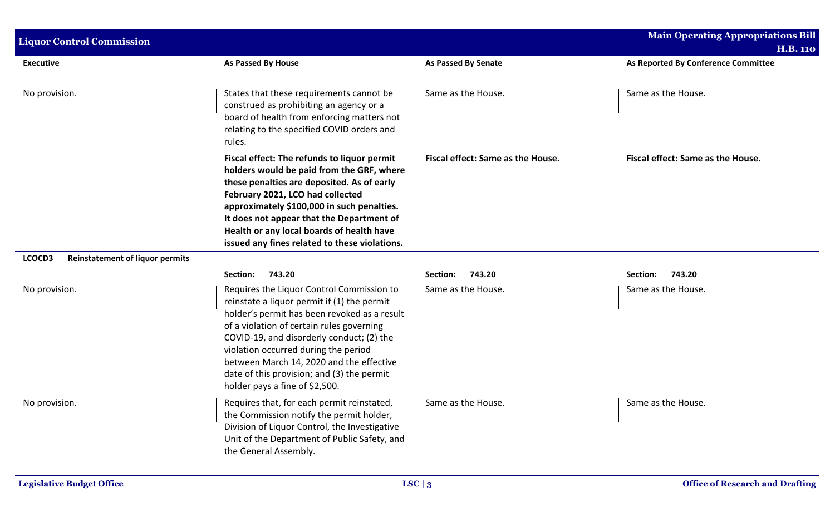| <b>Liquor Control Commission</b>                 |                                                                                                                                                                                                                                                                                                                                                                                                        |                                   | <b>Main Operating Appropriations Bill</b>              |
|--------------------------------------------------|--------------------------------------------------------------------------------------------------------------------------------------------------------------------------------------------------------------------------------------------------------------------------------------------------------------------------------------------------------------------------------------------------------|-----------------------------------|--------------------------------------------------------|
| <b>Executive</b>                                 | As Passed By House                                                                                                                                                                                                                                                                                                                                                                                     | <b>As Passed By Senate</b>        | <b>H.B. 110</b><br>As Reported By Conference Committee |
| No provision.                                    | States that these requirements cannot be<br>construed as prohibiting an agency or a<br>board of health from enforcing matters not<br>relating to the specified COVID orders and<br>rules.                                                                                                                                                                                                              | Same as the House.                | Same as the House.                                     |
|                                                  | Fiscal effect: The refunds to liquor permit<br>holders would be paid from the GRF, where<br>these penalties are deposited. As of early<br>February 2021, LCO had collected<br>approximately \$100,000 in such penalties.<br>It does not appear that the Department of<br>Health or any local boards of health have<br>issued any fines related to these violations.                                    | Fiscal effect: Same as the House. | Fiscal effect: Same as the House.                      |
| LCOCD3<br><b>Reinstatement of liquor permits</b> |                                                                                                                                                                                                                                                                                                                                                                                                        |                                   |                                                        |
|                                                  | 743.20<br>Section:                                                                                                                                                                                                                                                                                                                                                                                     | 743.20<br>Section:                | 743.20<br>Section:                                     |
| No provision.                                    | Requires the Liquor Control Commission to<br>reinstate a liquor permit if (1) the permit<br>holder's permit has been revoked as a result<br>of a violation of certain rules governing<br>COVID-19, and disorderly conduct; (2) the<br>violation occurred during the period<br>between March 14, 2020 and the effective<br>date of this provision; and (3) the permit<br>holder pays a fine of \$2,500. | Same as the House.                | Same as the House.                                     |
| No provision.                                    | Requires that, for each permit reinstated,<br>the Commission notify the permit holder,<br>Division of Liquor Control, the Investigative<br>Unit of the Department of Public Safety, and<br>the General Assembly.                                                                                                                                                                                       | Same as the House.                | Same as the House.                                     |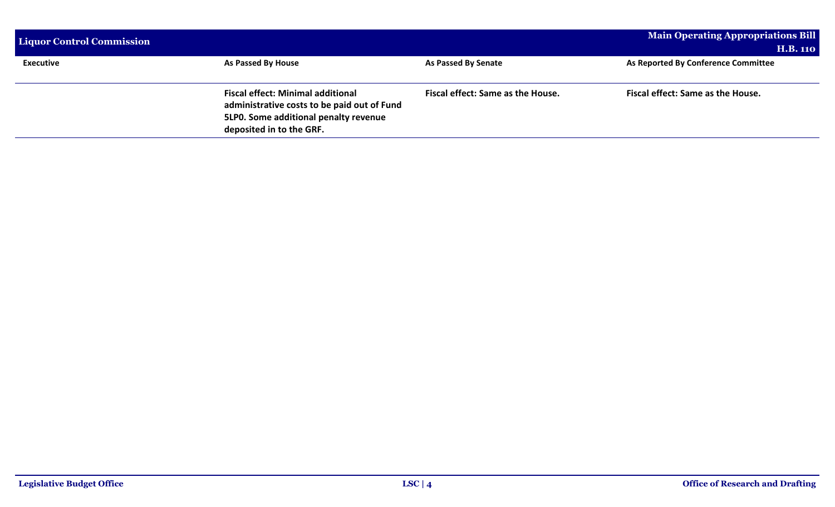| <b>Liquor Control Commission</b> |                                                                                                                                                              |                                   | Main Operating Appropriations Bill<br><b>H.B. 110</b> |
|----------------------------------|--------------------------------------------------------------------------------------------------------------------------------------------------------------|-----------------------------------|-------------------------------------------------------|
| <b>Executive</b>                 | As Passed By House                                                                                                                                           | As Passed By Senate               | As Reported By Conference Committee                   |
|                                  | <b>Fiscal effect: Minimal additional</b><br>administrative costs to be paid out of Fund<br>5LP0. Some additional penalty revenue<br>deposited in to the GRF. | Fiscal effect: Same as the House. | Fiscal effect: Same as the House.                     |